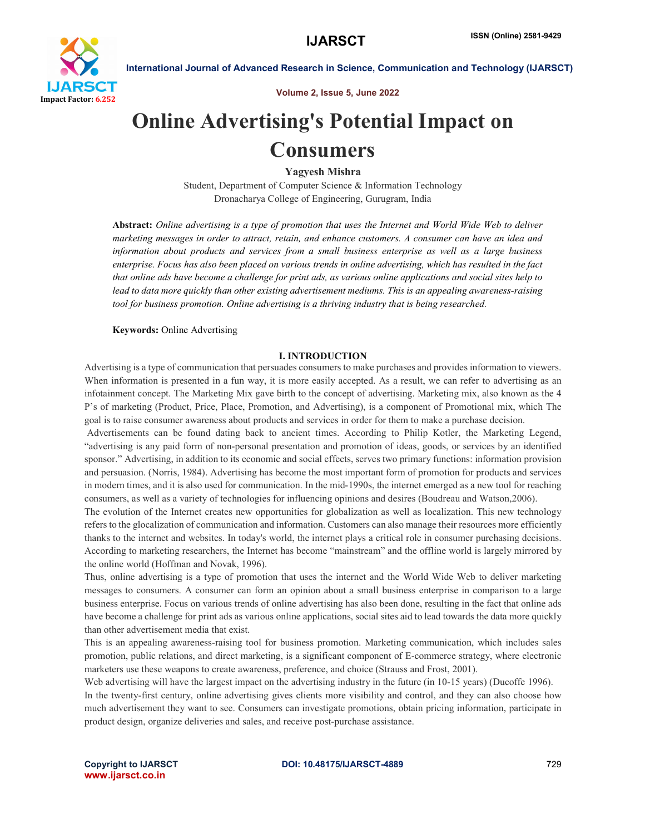

Volume 2, Issue 5, June 2022

# Online Advertising's Potential Impact on Consumers

Yagyesh Mishra

Student, Department of Computer Science & Information Technology Dronacharya College of Engineering, Gurugram, India

Abstract: *Online advertising is a type of promotion that uses the Internet and World Wide Web to deliver marketing messages in order to attract, retain, and enhance customers. A consumer can have an idea and information about products and services from a small business enterprise as well as a large business enterprise. Focus has also been placed on various trends in online advertising, which has resulted in the fact that online ads have become a challenge for print ads, as various online applications and social sites help to lead to data more quickly than other existing advertisement mediums. This is an appealing awareness-raising tool for business promotion. Online advertising is a thriving industry that is being researched.*

### Keywords: Online Advertising

#### I. INTRODUCTION

Advertising is a type of communication that persuades consumers to make purchases and provides information to viewers. When information is presented in a fun way, it is more easily accepted. As a result, we can refer to advertising as an infotainment concept. The Marketing Mix gave birth to the concept of advertising. Marketing mix, also known as the 4 P's of marketing (Product, Price, Place, Promotion, and Advertising), is a component of Promotional mix, which The goal is to raise consumer awareness about products and services in order for them to make a purchase decision.

Advertisements can be found dating back to ancient times. According to Philip Kotler, the Marketing Legend, "advertising is any paid form of non-personal presentation and promotion of ideas, goods, or services by an identified sponsor." Advertising, in addition to its economic and social effects, serves two primary functions: information provision and persuasion. (Norris, 1984). Advertising has become the most important form of promotion for products and services in modern times, and it is also used for communication. In the mid-1990s, the internet emerged as a new tool for reaching consumers, as well as a variety of technologies for influencing opinions and desires (Boudreau and Watson,2006).

The evolution of the Internet creates new opportunities for globalization as well as localization. This new technology refers to the glocalization of communication and information. Customers can also manage their resources more efficiently thanks to the internet and websites. In today's world, the internet plays a critical role in consumer purchasing decisions. According to marketing researchers, the Internet has become "mainstream" and the offline world is largely mirrored by the online world (Hoffman and Novak, 1996).

Thus, online advertising is a type of promotion that uses the internet and the World Wide Web to deliver marketing messages to consumers. A consumer can form an opinion about a small business enterprise in comparison to a large business enterprise. Focus on various trends of online advertising has also been done, resulting in the fact that online ads have become a challenge for print ads as various online applications, social sites aid to lead towards the data more quickly than other advertisement media that exist.

This is an appealing awareness-raising tool for business promotion. Marketing communication, which includes sales promotion, public relations, and direct marketing, is a significant component of E-commerce strategy, where electronic marketers use these weapons to create awareness, preference, and choice (Strauss and Frost, 2001).

Web advertising will have the largest impact on the advertising industry in the future (in 10-15 years) (Ducoffe 1996). In the twenty-first century, online advertising gives clients more visibility and control, and they can also choose how much advertisement they want to see. Consumers can investigate promotions, obtain pricing information, participate in product design, organize deliveries and sales, and receive post-purchase assistance.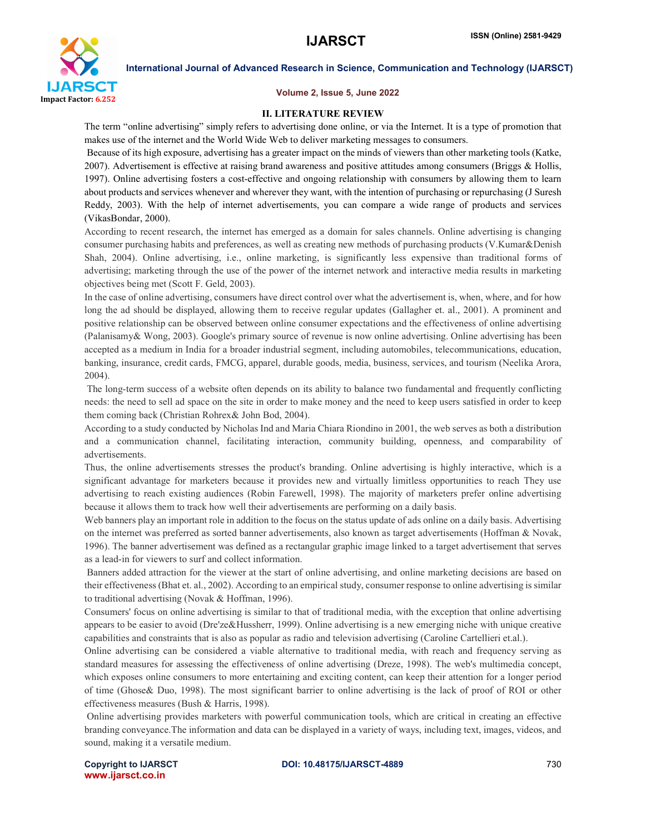

#### Volume 2, Issue 5, June 2022

#### II. LITERATURE REVIEW

The term "online advertising" simply refers to advertising done online, or via the Internet. It is a type of promotion that makes use of the internet and the World Wide Web to deliver marketing messages to consumers.

Because of its high exposure, advertising has a greater impact on the minds of viewers than other marketing tools (Katke, 2007). Advertisement is effective at raising brand awareness and positive attitudes among consumers (Briggs & Hollis, 1997). Online advertising fosters a cost-effective and ongoing relationship with consumers by allowing them to learn about products and services whenever and wherever they want, with the intention of purchasing or repurchasing (J Suresh Reddy, 2003). With the help of internet advertisements, you can compare a wide range of products and services (VikasBondar, 2000).

According to recent research, the internet has emerged as a domain for sales channels. Online advertising is changing consumer purchasing habits and preferences, as well as creating new methods of purchasing products (V.Kumar&Denish Shah, 2004). Online advertising, i.e., online marketing, is significantly less expensive than traditional forms of advertising; marketing through the use of the power of the internet network and interactive media results in marketing objectives being met (Scott F. Geld, 2003).

In the case of online advertising, consumers have direct control over what the advertisement is, when, where, and for how long the ad should be displayed, allowing them to receive regular updates (Gallagher et. al., 2001). A prominent and positive relationship can be observed between online consumer expectations and the effectiveness of online advertising (Palanisamy& Wong, 2003). Google's primary source of revenue is now online advertising. Online advertising has been accepted as a medium in India for a broader industrial segment, including automobiles, telecommunications, education, banking, insurance, credit cards, FMCG, apparel, durable goods, media, business, services, and tourism (Neelika Arora, 2004).

The long-term success of a website often depends on its ability to balance two fundamental and frequently conflicting needs: the need to sell ad space on the site in order to make money and the need to keep users satisfied in order to keep them coming back (Christian Rohrex& John Bod, 2004).

According to a study conducted by Nicholas Ind and Maria Chiara Riondino in 2001, the web serves as both a distribution and a communication channel, facilitating interaction, community building, openness, and comparability of advertisements.

Thus, the online advertisements stresses the product's branding. Online advertising is highly interactive, which is a significant advantage for marketers because it provides new and virtually limitless opportunities to reach They use advertising to reach existing audiences (Robin Farewell, 1998). The majority of marketers prefer online advertising because it allows them to track how well their advertisements are performing on a daily basis.

Web banners play an important role in addition to the focus on the status update of ads online on a daily basis. Advertising on the internet was preferred as sorted banner advertisements, also known as target advertisements (Hoffman & Novak, 1996). The banner advertisement was defined as a rectangular graphic image linked to a target advertisement that serves as a lead-in for viewers to surf and collect information.

Banners added attraction for the viewer at the start of online advertising, and online marketing decisions are based on their effectiveness (Bhat et. al., 2002). According to an empirical study, consumer response to online advertising is similar to traditional advertising (Novak & Hoffman, 1996).

Consumers' focus on online advertising is similar to that of traditional media, with the exception that online advertising appears to be easier to avoid (Dre'ze&Hussherr, 1999). Online advertising is a new emerging niche with unique creative capabilities and constraints that is also as popular as radio and television advertising (Caroline Cartellieri et.al.).

Online advertising can be considered a viable alternative to traditional media, with reach and frequency serving as standard measures for assessing the effectiveness of online advertising (Dreze, 1998). The web's multimedia concept, which exposes online consumers to more entertaining and exciting content, can keep their attention for a longer period of time (Ghose& Duo, 1998). The most significant barrier to online advertising is the lack of proof of ROI or other effectiveness measures (Bush & Harris, 1998).

Online advertising provides marketers with powerful communication tools, which are critical in creating an effective branding conveyance.The information and data can be displayed in a variety of ways, including text, images, videos, and sound, making it a versatile medium.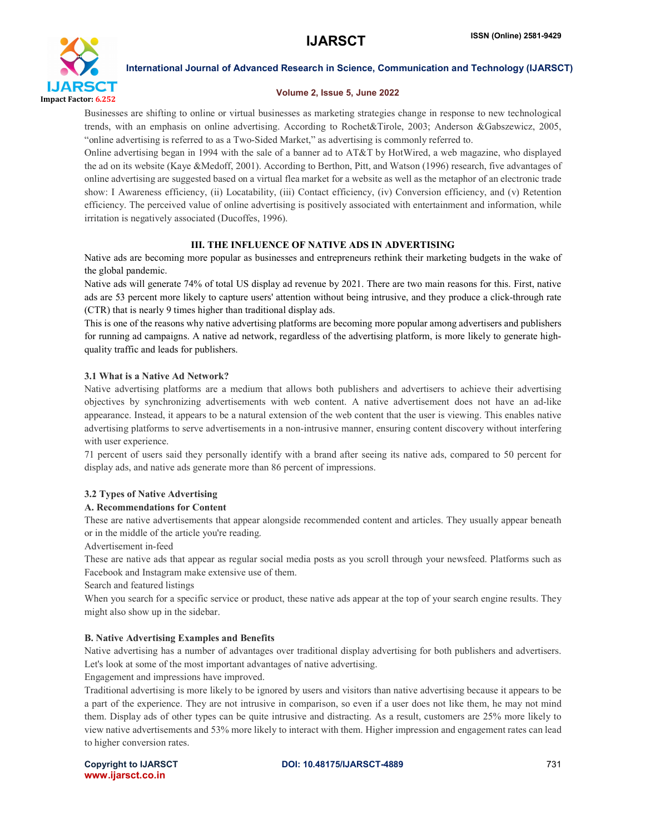

#### Volume 2, Issue 5, June 2022

Businesses are shifting to online or virtual businesses as marketing strategies change in response to new technological trends, with an emphasis on online advertising. According to Rochet&Tirole, 2003; Anderson &Gabszewicz, 2005, "online advertising is referred to as a Two-Sided Market," as advertising is commonly referred to.

Online advertising began in 1994 with the sale of a banner ad to AT&T by HotWired, a web magazine, who displayed the ad on its website (Kaye &Medoff, 2001). According to Berthon, Pitt, and Watson (1996) research, five advantages of online advertising are suggested based on a virtual flea market for a website as well as the metaphor of an electronic trade show: I Awareness efficiency, (ii) Locatability, (iii) Contact efficiency, (iv) Conversion efficiency, and (v) Retention efficiency. The perceived value of online advertising is positively associated with entertainment and information, while irritation is negatively associated (Ducoffes, 1996).

# III. THE INFLUENCE OF NATIVE ADS IN ADVERTISING

Native ads are becoming more popular as businesses and entrepreneurs rethink their marketing budgets in the wake of the global pandemic.

Native ads will generate 74% of total US display ad revenue by 2021. There are two main reasons for this. First, native ads are 53 percent more likely to capture users' attention without being intrusive, and they produce a click-through rate (CTR) that is nearly 9 times higher than traditional display ads.

This is one of the reasons why native advertising platforms are becoming more popular among advertisers and publishers for running ad campaigns. A native ad network, regardless of the advertising platform, is more likely to generate highquality traffic and leads for publishers.

## 3.1 What is a Native Ad Network?

Native advertising platforms are a medium that allows both publishers and advertisers to achieve their advertising objectives by synchronizing advertisements with web content. A native advertisement does not have an ad-like appearance. Instead, it appears to be a natural extension of the web content that the user is viewing. This enables native advertising platforms to serve advertisements in a non-intrusive manner, ensuring content discovery without interfering with user experience.

71 percent of users said they personally identify with a brand after seeing its native ads, compared to 50 percent for display ads, and native ads generate more than 86 percent of impressions.

# 3.2 Types of Native Advertising

### A. Recommendations for Content

These are native advertisements that appear alongside recommended content and articles. They usually appear beneath or in the middle of the article you're reading.

Advertisement in-feed

These are native ads that appear as regular social media posts as you scroll through your newsfeed. Platforms such as Facebook and Instagram make extensive use of them.

Search and featured listings

When you search for a specific service or product, these native ads appear at the top of your search engine results. They might also show up in the sidebar.

# B. Native Advertising Examples and Benefits

Native advertising has a number of advantages over traditional display advertising for both publishers and advertisers. Let's look at some of the most important advantages of native advertising.

Engagement and impressions have improved.

Traditional advertising is more likely to be ignored by users and visitors than native advertising because it appears to be a part of the experience. They are not intrusive in comparison, so even if a user does not like them, he may not mind them. Display ads of other types can be quite intrusive and distracting. As a result, customers are 25% more likely to view native advertisements and 53% more likely to interact with them. Higher impression and engagement rates can lead to higher conversion rates.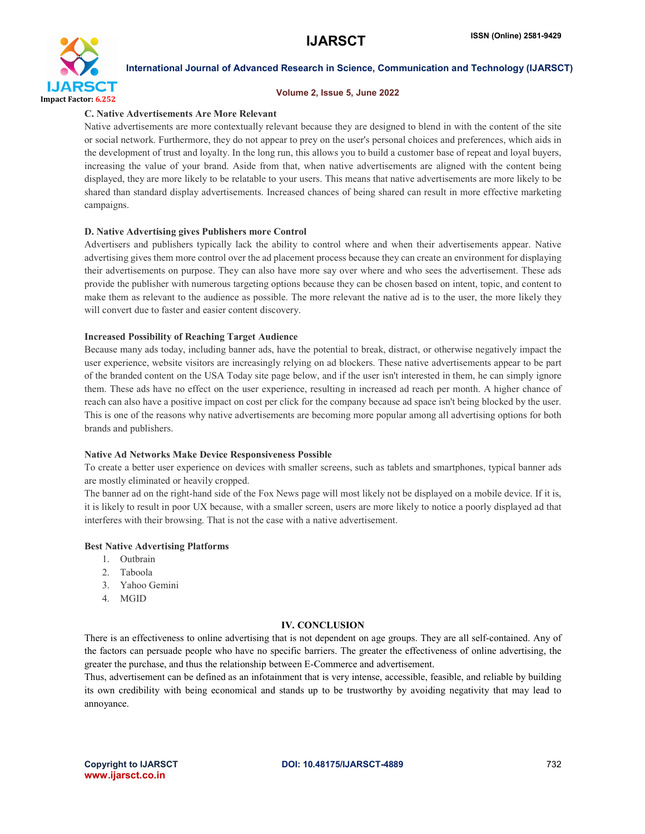

#### Volume 2, Issue 5, June 2022

#### C. Native Advertisements Are More Relevant

Native advertisements are more contextually relevant because they are designed to blend in with the content of the site or social network. Furthermore, they do not appear to prey on the user's personal choices and preferences, which aids in the development of trust and loyalty. In the long run, this allows you to build a customer base of repeat and loyal buyers, increasing the value of your brand. Aside from that, when native advertisements are aligned with the content being displayed, they are more likely to be relatable to your users. This means that native advertisements are more likely to be shared than standard display advertisements. Increased chances of being shared can result in more effective marketing campaigns.

### D. Native Advertising gives Publishers more Control

Advertisers and publishers typically lack the ability to control where and when their advertisements appear. Native advertising gives them more control over the ad placement process because they can create an environment for displaying their advertisements on purpose. They can also have more say over where and who sees the advertisement. These ads provide the publisher with numerous targeting options because they can be chosen based on intent, topic, and content to make them as relevant to the audience as possible. The more relevant the native ad is to the user, the more likely they will convert due to faster and easier content discovery.

#### Increased Possibility of Reaching Target Audience

Because many ads today, including banner ads, have the potential to break, distract, or otherwise negatively impact the user experience, website visitors are increasingly relying on ad blockers. These native advertisements appear to be part of the branded content on the USA Today site page below, and if the user isn't interested in them, he can simply ignore them. These ads have no effect on the user experience, resulting in increased ad reach per month. A higher chance of reach can also have a positive impact on cost per click for the company because ad space isn't being blocked by the user. This is one of the reasons why native advertisements are becoming more popular among all advertising options for both brands and publishers.

#### Native Ad Networks Make Device Responsiveness Possible

To create a better user experience on devices with smaller screens, such as tablets and smartphones, typical banner ads are mostly eliminated or heavily cropped.

The banner ad on the right-hand side of the Fox News page will most likely not be displayed on a mobile device. If it is, it is likely to result in poor UX because, with a smaller screen, users are more likely to notice a poorly displayed ad that interferes with their browsing. That is not the case with a native advertisement.

#### Best Native Advertising Platforms

- 1. Outbrain
- 2. Taboola
- 3. Yahoo Gemini
- 4. MGID

#### IV. CONCLUSION

There is an effectiveness to online advertising that is not dependent on age groups. They are all self-contained. Any of the factors can persuade people who have no specific barriers. The greater the effectiveness of online advertising, the greater the purchase, and thus the relationship between E-Commerce and advertisement.

Thus, advertisement can be defined as an infotainment that is very intense, accessible, feasible, and reliable by building its own credibility with being economical and stands up to be trustworthy by avoiding negativity that may lead to annoyance.